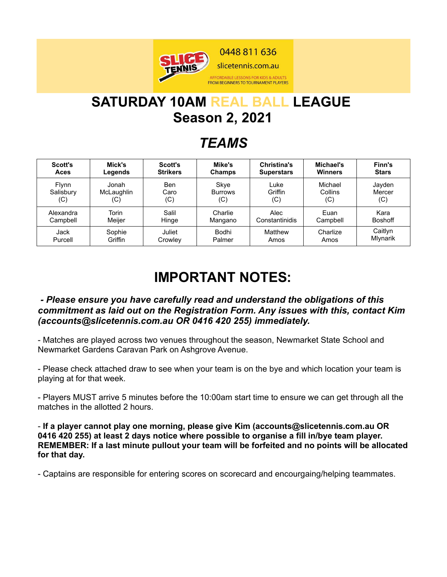

# **SATURDAY 10AM REAL BALL LEAGUE Season 2, 2021**

## *TEAMS*

| Scott's      | Mick's     | <b>Scott's</b>  | Mike's         | Christina's       | Michael's      | Finn's         |
|--------------|------------|-----------------|----------------|-------------------|----------------|----------------|
| Aces         | Legends    | <b>Strikers</b> | <b>Champs</b>  | <b>Superstars</b> | <b>Winners</b> | <b>Stars</b>   |
| <b>Flynn</b> | Jonah      | Ben             | Skye           | Luke              | Michael        | Jayden         |
| Salisbury    | McLaughlin | Caro            | <b>Burrows</b> | Griffin           | Collins        | Mercer         |
| (C)          | (C)        | (C)             | (C)            | (C)               | (C)            | (C)            |
| Alexandra    | Torin      | Salil           | Charlie        | Alec              | Euan           | Kara           |
| Campbell     | Meiier     | Hinge           | Mangano        | Constantinidis    | Campbell       | <b>Boshoff</b> |
| Jack         | Sophie     | Juliet          | Bodhi          | Matthew           | Charlize       | Caitlyn        |
| Purcell      | Griffin    | Crowley         | Palmer         | Amos              | Amos           | Mlynarik       |

## **IMPORTANT NOTES:**

#### *- Please ensure you have carefully read and understand the obligations of this commitment as laid out on the Registration Form. Any issues with this, contact Kim (accounts@slicetennis.com.au OR 0416 420 255) immediately.*

- Matches are played across two venues throughout the season, Newmarket State School and Newmarket Gardens Caravan Park on Ashgrove Avenue.

- Please check attached draw to see when your team is on the bye and which location your team is playing at for that week.

- Players MUST arrive 5 minutes before the 10:00am start time to ensure we can get through all the matches in the allotted 2 hours.

- **If a player cannot play one morning, please give Kim (accounts@slicetennis.com.au OR 0416 420 255) at least 2 days notice where possible to organise a fill in/bye team player. REMEMBER: If a last minute pullout your team will be forfeited and no points will be allocated for that day.**

- Captains are responsible for entering scores on scorecard and encourgaing/helping teammates.